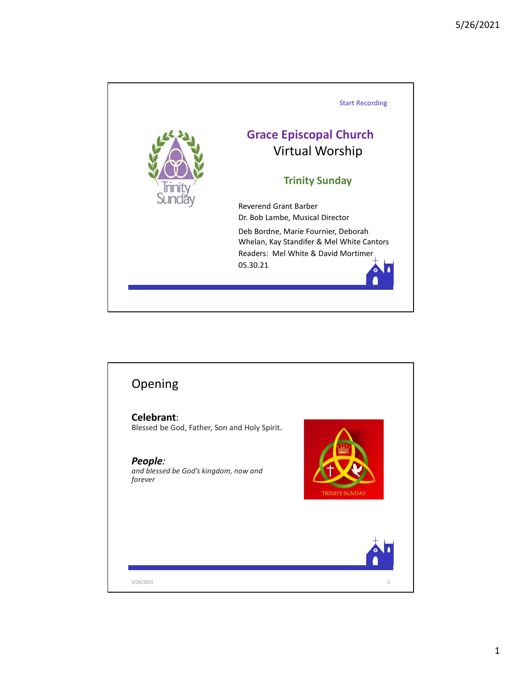

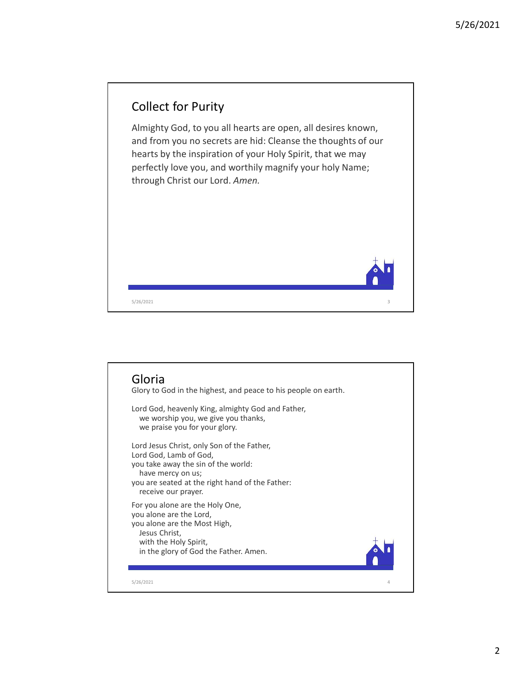

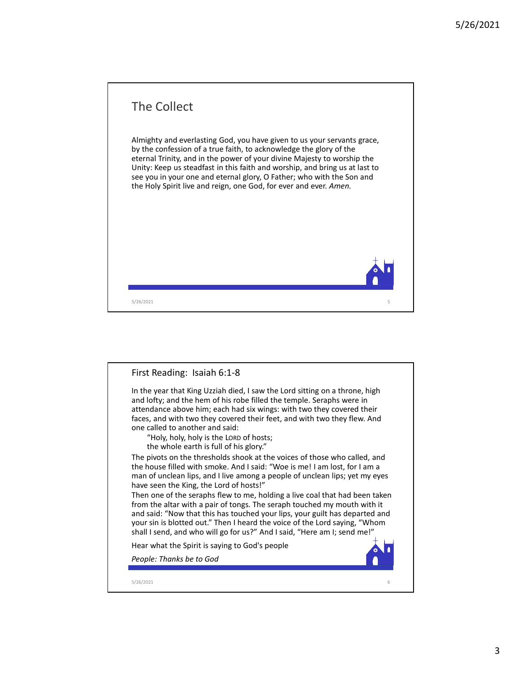

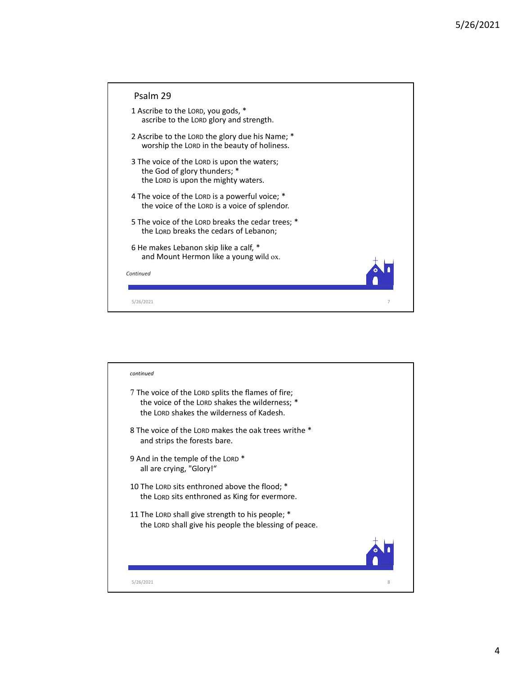|                                                                                                                                                   | 5/26/2021 |
|---------------------------------------------------------------------------------------------------------------------------------------------------|-----------|
|                                                                                                                                                   |           |
| Psalm 29                                                                                                                                          |           |
| 1 Ascribe to the LORD, you gods, *<br>ascribe to the LORD glory and strength.                                                                     |           |
| 2 Ascribe to the LORD the glory due his Name; *<br>worship the LORD in the beauty of holiness.                                                    |           |
| 3 The voice of the LORD is upon the waters;<br>the God of glory thunders; *<br>the LORD is upon the mighty waters.                                |           |
| 4 The voice of the LORD is a powerful voice; *<br>the voice of the LORD is a voice of splendor.                                                   |           |
| 5 The voice of the LORD breaks the cedar trees; *<br>the LORD breaks the cedars of Lebanon;                                                       |           |
| 6 He makes Lebanon skip like a calf, *<br>and Mount Hermon like a young wild ox.                                                                  |           |
| Continued                                                                                                                                         |           |
| 5/26/2021<br>$\overline{7}$                                                                                                                       |           |
|                                                                                                                                                   |           |
|                                                                                                                                                   |           |
| continued                                                                                                                                         |           |
| 7 The voice of the LORD splits the flames of fire;<br>the voice of the LORD shakes the wilderness; *<br>the LORD shakes the wilderness of Kadesh. |           |
| 8 The voice of the LORD makes the oak trees writhe *<br>and strips the forests bare.                                                              |           |
| 9 And in the temple of the LORD *                                                                                                                 |           |

| the voice of the LORD is a voice of splendor.                                                                                                     |                |
|---------------------------------------------------------------------------------------------------------------------------------------------------|----------------|
| 5 The voice of the LORD breaks the cedar trees; *<br>the LORD breaks the cedars of Lebanon;                                                       |                |
| 6 He makes Lebanon skip like a calf, *<br>and Mount Hermon like a young wild ox.                                                                  |                |
| Continued                                                                                                                                         |                |
| 5/26/2021                                                                                                                                         | $\overline{7}$ |
|                                                                                                                                                   |                |
|                                                                                                                                                   |                |
| continued                                                                                                                                         |                |
| 7 The voice of the LORD splits the flames of fire;<br>the voice of the LORD shakes the wilderness; *<br>the LORD shakes the wilderness of Kadesh. |                |
| 8 The voice of the LORD makes the oak trees writhe *<br>and strips the forests bare.                                                              |                |
| 9 And in the temple of the LORD *<br>all are crying, "Glory!"                                                                                     |                |
| 10 The LORD sits enthroned above the flood; *<br>the LORD sits enthroned as King for evermore.                                                    |                |
| 11 The LORD shall give strength to his people; *<br>the LORD shall give his people the blessing of peace.                                         |                |
|                                                                                                                                                   |                |
| 5/26/2021                                                                                                                                         | 8              |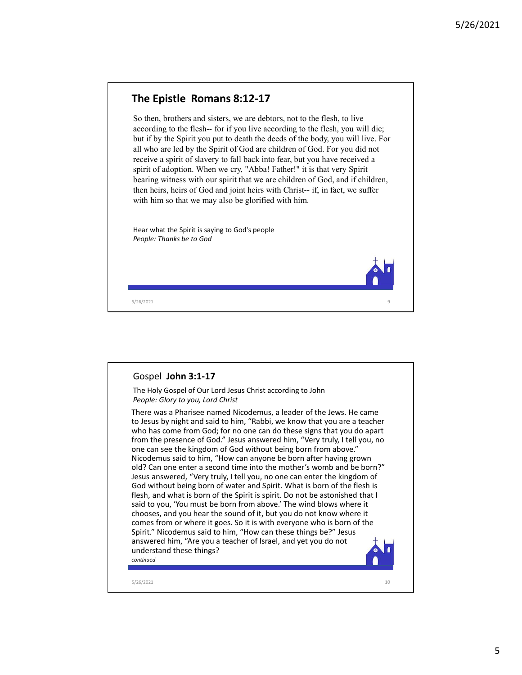## The Epistle Romans 8:12-17

**The Epistle Romans 8:12-17**<br>So then, brothers and sisters, we are debtors, not to the flesh, to live<br>according to the flesh— for if you live according to the flesh, you will like;<br>but if by the Spirit pou put to death de So then, brothers and sisters, we are debtors, not to the flesh, to live 5/26/202<br> **The Epistle Romans 8:12-17**<br>
So then, brothers and sisters, we are debtors, not to the flesh, to live<br>
according to the flesh-- for if you live according to the flesh, you will die;<br>
but if by the Spirit you put but if by the Spirit you put to death the deeds of the body, you will live. For all who are led by the Spirit of God are children of God. For you did not receive a spirit of slavery to fall back into fear, but you have received a spirit of adoption. When we cry, "Abba! Father!" it is that very Spirit bearing witness with our spirit that we are children of God, and if children, 5/26/2021<br>The Epistle Romans 8:12-17<br>So then, brothers and sisters, we are debtors, not to the flesh, to live<br>according to the flesh-- for if you live according to the flesh, you will die;<br>but if by the Spirit you put to with him so that we may also be glorified with him.

Hear what the Spirit is saying to God's people People: Thanks be to God

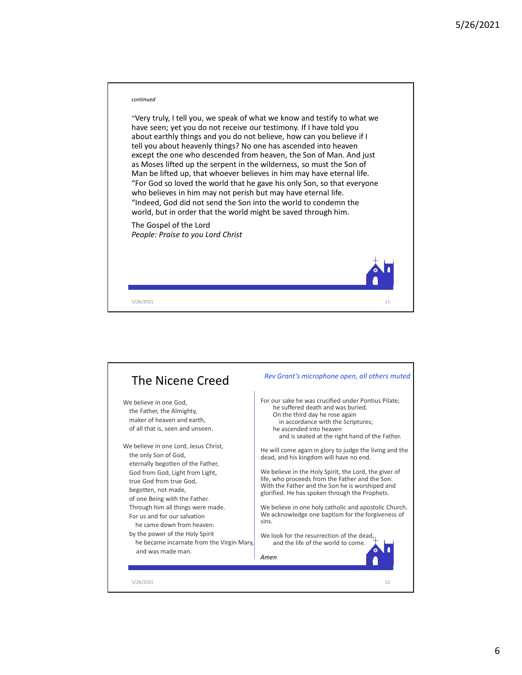

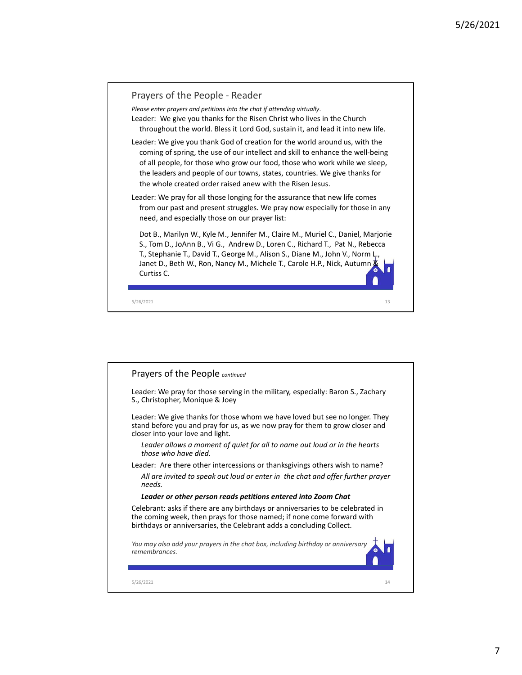

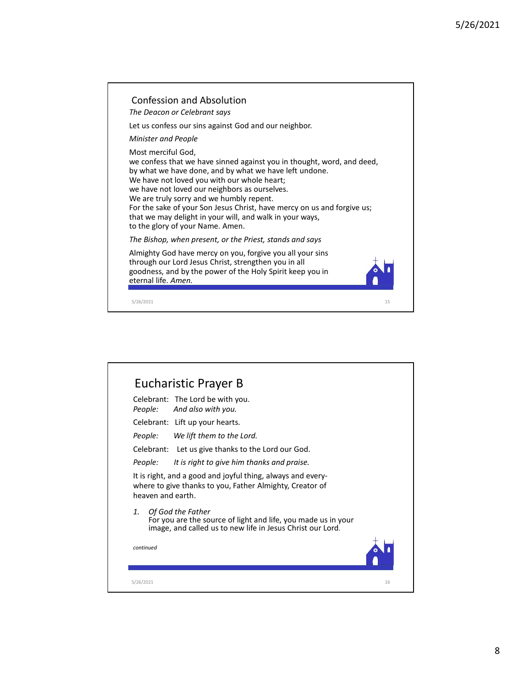

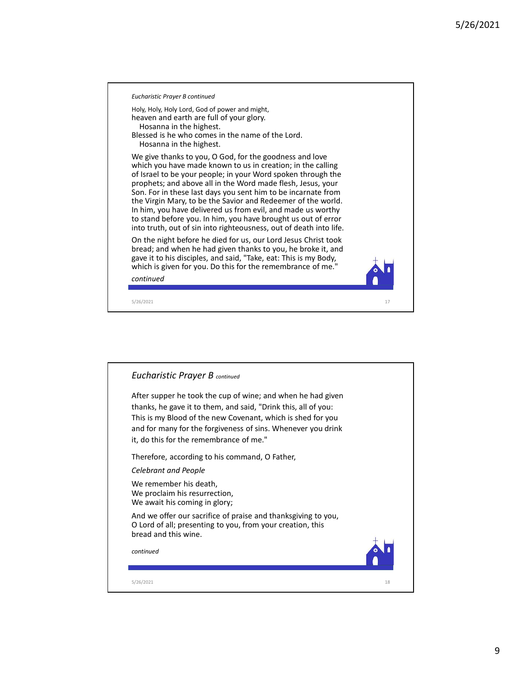

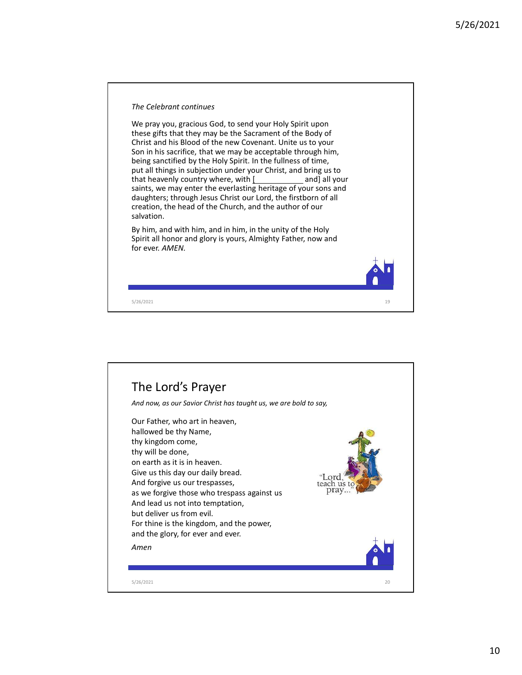

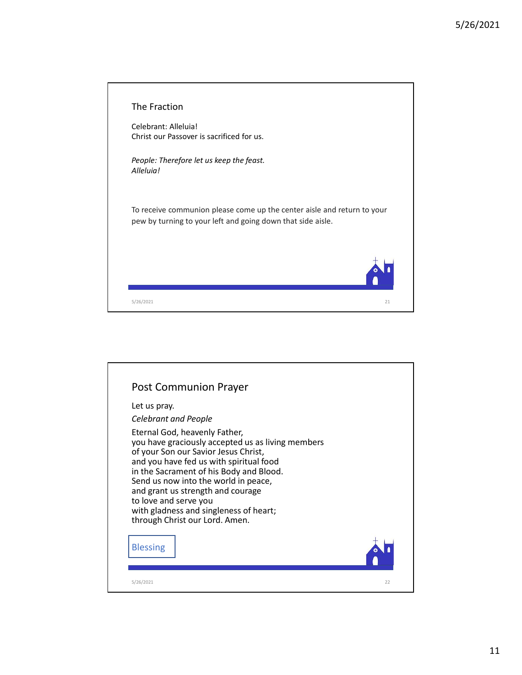| The Fraction                                                                                                                           |  |
|----------------------------------------------------------------------------------------------------------------------------------------|--|
| Celebrant: Alleluia!<br>Christ our Passover is sacrificed for us.                                                                      |  |
| People: Therefore let us keep the feast.<br>Alleluia!                                                                                  |  |
| To receive communion please come up the center aisle and return to your<br>pew by turning to your left and going down that side aisle. |  |
|                                                                                                                                        |  |
| 21<br>5/26/2021                                                                                                                        |  |
|                                                                                                                                        |  |
|                                                                                                                                        |  |
|                                                                                                                                        |  |